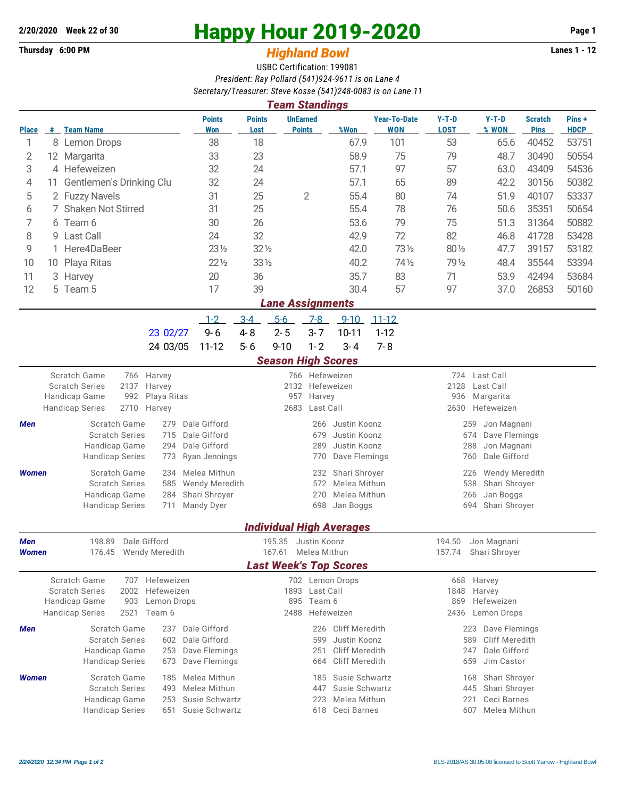## **2/20/2020 Week 22 of 30 Happy Hour 2019-2020 Page 1**

## **Thursday 6:00 PM** *Highland Bowl* **Lanes 1 - 12**

USBC Certification: 199081 *President: Ray Pollard (541)924-9611 is on Lane 4 Secretary/Treasurer: Steve Kosse (541)248-0083 is on Lane 11*

|                                                                                                                                                                  | <b>Team Standings</b>                                                                                                                                                    |                                                                                  |                                                                           |                                                                    |                       |                                                                                                   |                                       |                                                                                               |                                                                   |                                                                                           |                                                                                                       |                               |                       |  |  |
|------------------------------------------------------------------------------------------------------------------------------------------------------------------|--------------------------------------------------------------------------------------------------------------------------------------------------------------------------|----------------------------------------------------------------------------------|---------------------------------------------------------------------------|--------------------------------------------------------------------|-----------------------|---------------------------------------------------------------------------------------------------|---------------------------------------|-----------------------------------------------------------------------------------------------|-------------------------------------------------------------------|-------------------------------------------------------------------------------------------|-------------------------------------------------------------------------------------------------------|-------------------------------|-----------------------|--|--|
| <b>Place</b>                                                                                                                                                     | #                                                                                                                                                                        | <b>Team Name</b>                                                                 |                                                                           | <b>Points</b><br>Won                                               | <b>Points</b><br>Lost |                                                                                                   | <b>UnEarned</b><br><b>Points</b>      | %Won                                                                                          | <b>Year-To-Date</b><br><b>WON</b>                                 | $Y-T-D$<br><b>LOST</b>                                                                    | $Y-T-D$<br>% WON                                                                                      | <b>Scratch</b><br><b>Pins</b> | Pins +<br><b>HDCP</b> |  |  |
| 1                                                                                                                                                                |                                                                                                                                                                          | 8 Lemon Drops                                                                    |                                                                           | 38                                                                 | 18                    |                                                                                                   |                                       | 67.9                                                                                          | 101                                                               | 53                                                                                        | 65.6                                                                                                  | 40452                         | 53751                 |  |  |
| 2                                                                                                                                                                |                                                                                                                                                                          | 12 Margarita                                                                     |                                                                           | 33                                                                 | 23                    |                                                                                                   |                                       | 58.9                                                                                          | 75                                                                | 79                                                                                        | 48.7                                                                                                  | 30490                         | 50554                 |  |  |
| 3                                                                                                                                                                |                                                                                                                                                                          | 4 Hefeweizen                                                                     |                                                                           | 32                                                                 | 24                    |                                                                                                   |                                       | 57.1                                                                                          | 97                                                                | 57                                                                                        | 63.0                                                                                                  | 43409                         | 54536                 |  |  |
| 4                                                                                                                                                                | 11.                                                                                                                                                                      | Gentlemen's Drinking Clu                                                         |                                                                           | 32                                                                 | 24                    |                                                                                                   |                                       | 57.1                                                                                          | 65                                                                | 89                                                                                        | 42.2                                                                                                  | 30156                         | 50382                 |  |  |
| 5                                                                                                                                                                | 2 Fuzzy Navels                                                                                                                                                           |                                                                                  | 31                                                                        | 25                                                                 |                       | $\overline{2}$                                                                                    | 55.4                                  | 80                                                                                            | 74                                                                | 51.9                                                                                      | 40107                                                                                                 | 53337                         |                       |  |  |
| 6                                                                                                                                                                | <b>Shaken Not Stirred</b>                                                                                                                                                |                                                                                  | 31                                                                        | 25                                                                 |                       |                                                                                                   | 55.4                                  | 78                                                                                            | 76                                                                | 50.6                                                                                      | 35351                                                                                                 | 50654                         |                       |  |  |
| 7                                                                                                                                                                | 6 Team 6                                                                                                                                                                 |                                                                                  | 30                                                                        | 26                                                                 |                       | 53.6                                                                                              |                                       | 79                                                                                            | 75                                                                | 51.3                                                                                      | 31364                                                                                                 | 50882                         |                       |  |  |
| 8                                                                                                                                                                | 9                                                                                                                                                                        | Last Call                                                                        |                                                                           | 24                                                                 | 32                    |                                                                                                   |                                       | 42.9                                                                                          | 72                                                                | 82                                                                                        | 46.8                                                                                                  | 41728                         | 53428                 |  |  |
| 9                                                                                                                                                                |                                                                                                                                                                          | Here4DaBeer                                                                      |                                                                           | $23\frac{1}{2}$                                                    |                       | $32\%$                                                                                            |                                       | 42.0                                                                                          | 731/2                                                             | 80 1/2                                                                                    | 47.7                                                                                                  | 39157                         | 53182                 |  |  |
| 10                                                                                                                                                               | 10                                                                                                                                                                       | Playa Ritas                                                                      |                                                                           | $22\frac{1}{2}$                                                    | 331/2                 |                                                                                                   |                                       | 40.2                                                                                          | 74 1/2                                                            | 79 1/2                                                                                    | 48.4                                                                                                  | 35544                         | 53394                 |  |  |
| 11                                                                                                                                                               |                                                                                                                                                                          | 3 Harvey                                                                         |                                                                           | 20                                                                 | 36                    |                                                                                                   |                                       | 35.7                                                                                          | 83                                                                | 71                                                                                        | 53.9                                                                                                  | 42494                         | 53684                 |  |  |
| 12                                                                                                                                                               |                                                                                                                                                                          | 5 Team 5                                                                         |                                                                           | 17                                                                 | 39                    |                                                                                                   |                                       | 30.4                                                                                          | 57                                                                | 97                                                                                        | 37.0                                                                                                  | 26853                         | 50160                 |  |  |
| <b>Lane Assignments</b>                                                                                                                                          |                                                                                                                                                                          |                                                                                  |                                                                           |                                                                    |                       |                                                                                                   |                                       |                                                                                               |                                                                   |                                                                                           |                                                                                                       |                               |                       |  |  |
|                                                                                                                                                                  |                                                                                                                                                                          |                                                                                  |                                                                           | $1 - 2$                                                            | $3 - 4$               | $5-6$                                                                                             | $7-8$                                 | $9 - 10$                                                                                      | $11 - 12$                                                         |                                                                                           |                                                                                                       |                               |                       |  |  |
|                                                                                                                                                                  |                                                                                                                                                                          |                                                                                  | 23 02/27                                                                  | $9 - 6$                                                            | $4 - 8$               | $2 - 5$                                                                                           | $3 - 7$                               | $10 - 11$                                                                                     | $1 - 12$                                                          |                                                                                           |                                                                                                       |                               |                       |  |  |
|                                                                                                                                                                  |                                                                                                                                                                          |                                                                                  | 24 03/05                                                                  | $11 - 12$                                                          | $5 - 6$               | $9 - 10$                                                                                          | $1 - 2$                               | $3 - 4$                                                                                       | $7 - 8$                                                           |                                                                                           |                                                                                                       |                               |                       |  |  |
| <b>Season High Scores</b>                                                                                                                                        |                                                                                                                                                                          |                                                                                  |                                                                           |                                                                    |                       |                                                                                                   |                                       |                                                                                               |                                                                   |                                                                                           |                                                                                                       |                               |                       |  |  |
| Men                                                                                                                                                              | Scratch Game<br>766 Harvey<br><b>Scratch Series</b><br>2137<br>Harvey<br>Handicap Game<br>992<br>Playa Ritas<br><b>Handicap Series</b><br>2710<br>Harvey<br>Dale Gifford |                                                                                  |                                                                           |                                                                    |                       | 766 Hefeweizen<br>2132<br>Hefeweizen<br>957<br>Harvey<br>2683<br>Last Call<br>Justin Koonz<br>266 |                                       |                                                                                               |                                                                   |                                                                                           | 724<br>Last Call<br>2128<br>Last Call<br>936<br>Margarita<br>2630<br>Hefeweizen<br>259<br>Jon Magnani |                               |                       |  |  |
|                                                                                                                                                                  |                                                                                                                                                                          | Scratch Game<br><b>Scratch Series</b><br>Handicap Game<br><b>Handicap Series</b> | 279<br>Dale Gifford<br>715<br>Dale Gifford<br>294<br>Ryan Jennings<br>773 | Justin Koonz<br>679<br>Justin Koonz<br>289<br>Dave Flemings<br>770 |                       |                                                                                                   |                                       |                                                                                               | 674<br>Dave Flemings<br>288<br>Jon Magnani<br>Dale Gifford<br>760 |                                                                                           |                                                                                                       |                               |                       |  |  |
| <b>Women</b>                                                                                                                                                     |                                                                                                                                                                          | Scratch Game<br><b>Scratch Series</b><br>Handicap Game<br><b>Handicap Series</b> | 234<br>585<br>284<br>711                                                  | Melea Mithun<br>Wendy Meredith<br>Shari Shroyer<br>Mandy Dyer      |                       |                                                                                                   | 232<br>572<br>270<br>698              | Shari Shroyer<br>Melea Mithun<br>Melea Mithun<br>Jan Boggs<br><b>Individual High Averages</b> |                                                                   | Wendy Meredith<br>226<br>538<br>Shari Shroyer<br>Jan Boggs<br>266<br>694<br>Shari Shroyer |                                                                                                       |                               |                       |  |  |
| 198.89<br>Dale Gifford<br>Men                                                                                                                                    |                                                                                                                                                                          |                                                                                  |                                                                           |                                                                    |                       | 195.35 Justin Koonz                                                                               |                                       |                                                                                               |                                                                   | 194.50                                                                                    | Jon Magnani                                                                                           |                               |                       |  |  |
| <b>Women</b>                                                                                                                                                     |                                                                                                                                                                          | 176.45 Wendy Meredith                                                            |                                                                           |                                                                    |                       | 167.61 Melea Mithun                                                                               |                                       |                                                                                               |                                                                   |                                                                                           | 157.74 Shari Shroyer                                                                                  |                               |                       |  |  |
|                                                                                                                                                                  |                                                                                                                                                                          |                                                                                  |                                                                           |                                                                    |                       |                                                                                                   |                                       | <b>Last Week's Top Scores</b>                                                                 |                                                                   |                                                                                           |                                                                                                       |                               |                       |  |  |
| Scratch Game<br>707<br>Hefeweizen<br><b>Scratch Series</b><br>2002<br>Hefeweizen<br>Handicap Game<br>903<br>Lemon Drops<br><b>Handicap Series</b><br>2521 Team 6 |                                                                                                                                                                          |                                                                                  |                                                                           |                                                                    |                       | 702 Lemon Drops<br>1893 Last Call<br>895 Team 6<br>2488<br>Hefeweizen                             |                                       |                                                                                               |                                                                   |                                                                                           | 668<br>Harvey<br>1848<br>Harvey<br>869<br>Hefeweizen<br>2436<br>Lemon Drops                           |                               |                       |  |  |
| Men                                                                                                                                                              |                                                                                                                                                                          | Scratch Game                                                                     | 237<br>602                                                                | Dale Gifford                                                       |                       |                                                                                                   | 226                                   | <b>Cliff Meredith</b>                                                                         |                                                                   |                                                                                           | Dave Flemings<br>223                                                                                  |                               |                       |  |  |
|                                                                                                                                                                  |                                                                                                                                                                          | <b>Scratch Series</b><br>Handicap Game                                           | Dale Gifford<br>Dave Flemings                                             |                                                                    |                       | 599<br>251                                                                                        | Justin Koonz<br><b>Cliff Meredith</b> |                                                                                               | Cliff Meredith<br>589<br>Dale Gifford<br>247                      |                                                                                           |                                                                                                       |                               |                       |  |  |
|                                                                                                                                                                  |                                                                                                                                                                          | <b>Handicap Series</b>                                                           | Dave Flemings                                                             | <b>Cliff Meredith</b><br>664                                       |                       |                                                                                                   |                                       |                                                                                               | 659<br>Jim Castor                                                 |                                                                                           |                                                                                                       |                               |                       |  |  |
| <b>Women</b>                                                                                                                                                     |                                                                                                                                                                          | Scratch Game<br><b>Scratch Series</b><br>Handicap Game                           | 185<br>493<br>253                                                         | Melea Mithun<br>Melea Mithun<br>Susie Schwartz                     |                       |                                                                                                   | 185<br>447<br>223                     | Susie Schwartz<br>Susie Schwartz<br>Melea Mithun                                              |                                                                   |                                                                                           | Shari Shroyer<br>168<br>Shari Shroyer<br>445<br>Ceci Barnes                                           |                               |                       |  |  |
|                                                                                                                                                                  |                                                                                                                                                                          |                                                                                  | <b>Handicap Series</b><br>Susie Schwartz<br>651                           |                                                                    |                       |                                                                                                   | 618                                   | Ceci Barnes                                                                                   |                                                                   | 221<br>Melea Mithun<br>607                                                                |                                                                                                       |                               |                       |  |  |